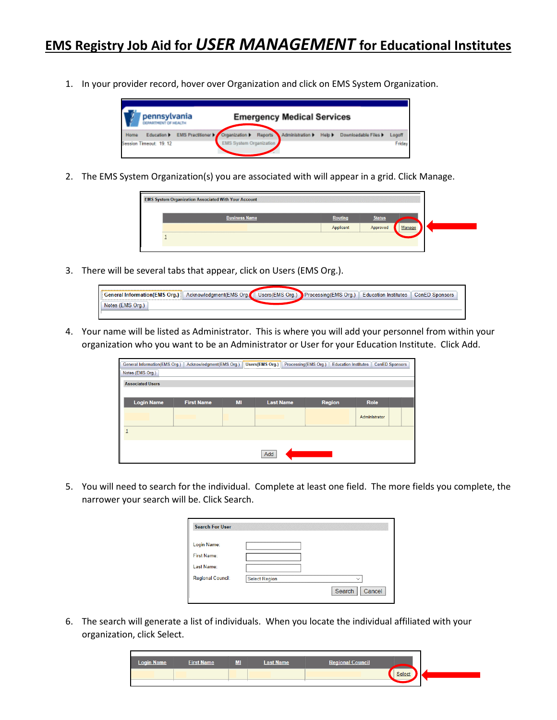1. In your provider record, hover over Organization and click on EMS System Organization.



2. The EMS System Organization(s) you are associated with will appear in a grid. Click Manage.



3. There will be several tabs that appear, click on Users (EMS Org.).

| General Information(EMS Org.) Acknowledgment(EMS Org. |  | Users(EMS Org.) Processing(EMS Org.)   Education Institutes | ConED Sponsors |
|-------------------------------------------------------|--|-------------------------------------------------------------|----------------|
| Notes (EMS Org.)                                      |  |                                                             |                |
|                                                       |  |                                                             |                |

4. Your name will be listed as Administrator. This is where you will add your personnel from within your organization who you want to be an Administrator or User for your Education Institute. Click Add.

| General Information(EMS Org.) | Acknowledgment(EMS Org.) |    | Users(EMS Org.)  | Processing(EMS Org.)<br><b>Education Institutes</b> | <b>ConED Sponsors</b> |  |
|-------------------------------|--------------------------|----|------------------|-----------------------------------------------------|-----------------------|--|
| Notes (EMS Org.)              |                          |    |                  |                                                     |                       |  |
| <b>Associated Users</b>       |                          |    |                  |                                                     |                       |  |
|                               |                          |    |                  |                                                     |                       |  |
| <b>Login Name</b>             | <b>First Name</b>        | MI | <b>Last Name</b> | <b>Region</b>                                       | Role                  |  |
|                               |                          |    |                  |                                                     | Administrator         |  |
|                               |                          |    |                  |                                                     |                       |  |
|                               |                          |    | Add              |                                                     |                       |  |

5. You will need to search for the individual. Complete at least one field. The more fields you complete, the narrower your search will be. Click Search.

| <b>Search For User</b>   |                      |                  |
|--------------------------|----------------------|------------------|
| Login Name:              |                      |                  |
| <b>First Name:</b>       |                      |                  |
| Last Name:               |                      |                  |
| <b>Regional Council:</b> | <b>Select Region</b> | $\checkmark$     |
|                          |                      | Cancel<br>Search |

6. The search will generate a list of individuals. When you locate the individual affiliated with your organization, click Select.

| Select | <b>Login Name</b> | <b>First Name</b> | ML | <b>Last Name</b> | <b>Regional Council</b> |  |
|--------|-------------------|-------------------|----|------------------|-------------------------|--|
|        |                   |                   |    |                  |                         |  |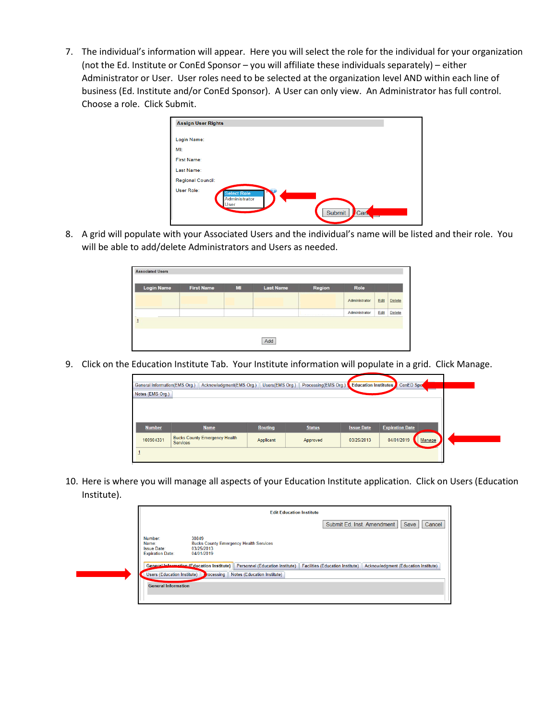7. The individual's information will appear. Here you will select the role for the individual for your organization (not the Ed. Institute or ConEd Sponsor – you will affiliate these individuals separately) – either Administrator or User. User roles need to be selected at the organization level AND within each line of business (Ed. Institute and/or ConEd Sponsor). A User can only view. An Administrator has full control. Choose a role. Click Submit.

| <b>Assign User Rights</b> |                                             |               |          |  |
|---------------------------|---------------------------------------------|---------------|----------|--|
| Login Name:               |                                             |               |          |  |
| MI:                       |                                             |               |          |  |
| <b>First Name:</b>        |                                             |               |          |  |
| Last Name:                |                                             |               |          |  |
| <b>Regional Council:</b>  |                                             |               |          |  |
| User Role:                | <b>Select Role</b><br>Administrator<br>User | <b>Submit</b> | Can<br>═ |  |

8. A grid will populate with your Associated Users and the individual's name will be listed and their role. You will be able to add/delete Administrators and Users as needed.

| <b>Login Name</b> | <b>First Name</b> | MI | <b>Last Name</b> | Region                                      | Role          |      |        |
|-------------------|-------------------|----|------------------|---------------------------------------------|---------------|------|--------|
|                   |                   |    |                  |                                             | Administrator | Edit | Delete |
|                   |                   |    |                  | handscope to me during a series of industry | Administrator | Edit | Delete |

9. Click on the Education Institute Tab. Your Institute information will populate in a grid. Click Manage.

| General Information(EMS Org.) | Acknowledgment(EMS Org.)                                | Users(EMS Org.) | Processing(EMS Org.) | <b>Education Institutes</b> | ConED Spo              |        |
|-------------------------------|---------------------------------------------------------|-----------------|----------------------|-----------------------------|------------------------|--------|
| Notes (EMS Org.)              |                                                         |                 |                      |                             |                        |        |
|                               |                                                         |                 |                      |                             |                        |        |
|                               |                                                         |                 |                      |                             |                        |        |
| <b>Number</b>                 | <b>Name</b>                                             | <b>Routing</b>  | <b>Status</b>        | <b>Issue Date</b>           | <b>Expiration Date</b> |        |
| 100904331                     | <b>Bucks County Emergency Health</b><br><b>Services</b> | Applicant       | Approved             | 03/25/2013                  | 04/01/2019             | Manage |
|                               |                                                         |                 |                      |                             |                        |        |

10. Here is where you will manage all aspects of your Education Institute application. Click on Users (Education Institute).

|                                                                   |                                                                                    | <b>Edit Education Institute</b>    |                                                                                                                                                 |
|-------------------------------------------------------------------|------------------------------------------------------------------------------------|------------------------------------|-------------------------------------------------------------------------------------------------------------------------------------------------|
|                                                                   |                                                                                    |                                    | Save<br>Submit Ed. Inst. Amendment<br>Cancel                                                                                                    |
| Number:<br>Name:<br><b>Issue Date:</b><br><b>Expiration Date:</b> | 30849<br><b>Bucks County Emergency Health Services</b><br>03/25/2013<br>04/01/2019 |                                    |                                                                                                                                                 |
|                                                                   |                                                                                    |                                    | General Information (Education Institute) Personnel (Education Institute) Facilities (Education Institute) Acknowledgment (Education Institute) |
| Users (Education Institute)                                       | rocessing                                                                          | <b>Notes (Education Institute)</b> |                                                                                                                                                 |
| <b>General Information</b>                                        |                                                                                    |                                    |                                                                                                                                                 |